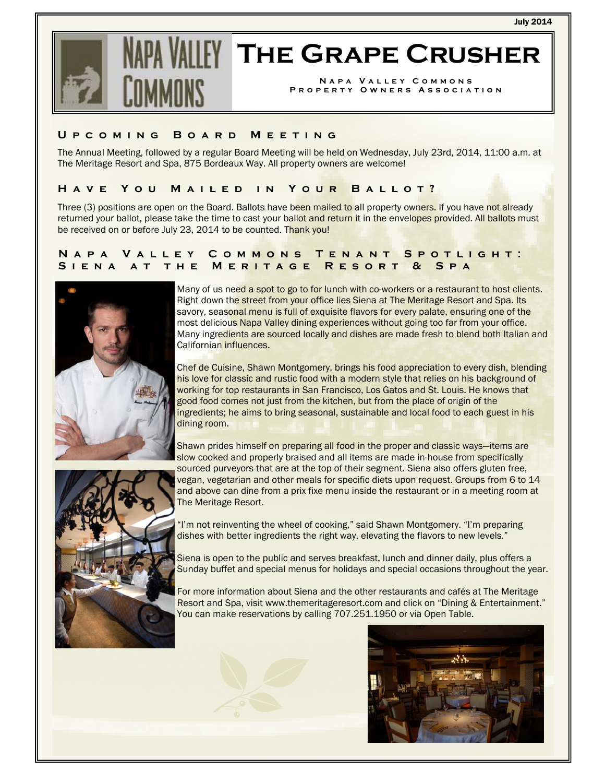

# **IFY THE GRAPE CRUSHER**

**Napa Valley Commons Property Owners Association** 

# **Upcoming Board Meeting**

The Annual Meeting, followed by a regular Board Meeting will be held on Wednesday, July 23rd, 2014, 11:00 a.m. at The Meritage Resort and Spa, 875 Bordeaux Way. All property owners are welcome!

# **Have You Mailed in Your Ballot?**

Three (3) positions are open on the Board. Ballots have been mailed to all property owners. If you have not already returned your ballot, please take the time to cast your ballot and return it in the envelopes provided. All ballots must be received on or before July 23, 2014 to be counted. Thank you!

# **Napa Valley Commons Tenant Spotlight: Siena at the Meritage Resort & Spa**



Many of us need a spot to go to for lunch with co-workers or a restaurant to host clients. Right down the street from your office lies Siena at The Meritage Resort and Spa. Its savory, seasonal menu is full of exquisite flavors for every palate, ensuring one of the most delicious Napa Valley dining experiences without going too far from your office. Many ingredients are sourced locally and dishes are made fresh to blend both Italian and Californian influences.

Chef de Cuisine, Shawn Montgomery, brings his food appreciation to every dish, blending his love for classic and rustic food with a modern style that relies on his background of working for top restaurants in San Francisco, Los Gatos and St. Louis. He knows that good food comes not just from the kitchen, but from the place of origin of the ingredients; he aims to bring seasonal, sustainable and local food to each guest in his dining room.



Shawn prides himself on preparing all food in the proper and classic ways—items are slow cooked and properly braised and all items are made in-house from specifically sourced purveyors that are at the top of their segment. Siena also offers gluten free, vegan, vegetarian and other meals for specific diets upon request. Groups from 6 to 14 and above can dine from a prix fixe menu inside the restaurant or in a meeting room at The Meritage Resort.

"I'm not reinventing the wheel of cooking," said Shawn Montgomery. "I'm preparing dishes with better ingredients the right way, elevating the flavors to new levels."

Siena is open to the public and serves breakfast, lunch and dinner daily, plus offers a Sunday buffet and special menus for holidays and special occasions throughout the year.

For more information about Siena and the other restaurants and cafés at The Meritage Resort and Spa, visit www.themeritageresort.com and click on "Dining & Entertainment." You can make reservations by calling 707.251.1950 or via Open Table.

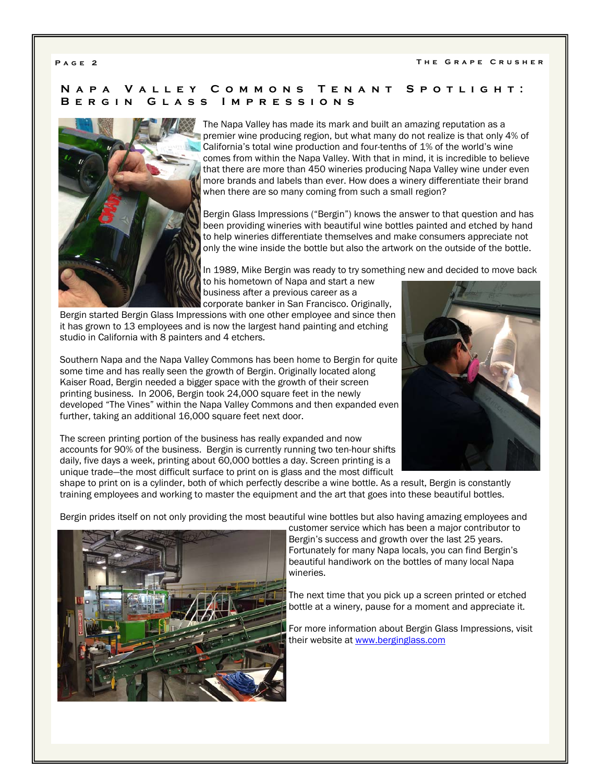# **Napa Valley Commons Tenant Spotlight: Bergin Glass Impressions**



The Napa Valley has made its mark and built an amazing reputation as a premier wine producing region, but what many do not realize is that only 4% of California's total wine production and four-tenths of 1% of the world's wine comes from within the Napa Valley. With that in mind, it is incredible to believe that there are more than 450 wineries producing Napa Valley wine under even more brands and labels than ever. How does a winery differentiate their brand when there are so many coming from such a small region?

Bergin Glass Impressions ("Bergin") knows the answer to that question and has been providing wineries with beautiful wine bottles painted and etched by hand to help wineries differentiate themselves and make consumers appreciate not only the wine inside the bottle but also the artwork on the outside of the bottle.

In 1989, Mike Bergin was ready to try something new and decided to move back

to his hometown of Napa and start a new business after a previous career as a corporate banker in San Francisco. Originally,

Bergin started Bergin Glass Impressions with one other employee and since then it has grown to 13 employees and is now the largest hand painting and etching studio in California with 8 painters and 4 etchers.

Southern Napa and the Napa Valley Commons has been home to Bergin for quite some time and has really seen the growth of Bergin. Originally located along Kaiser Road, Bergin needed a bigger space with the growth of their screen printing business. In 2006, Bergin took 24,000 square feet in the newly developed "The Vines" within the Napa Valley Commons and then expanded even further, taking an additional 16,000 square feet next door.

The screen printing portion of the business has really expanded and now accounts for 90% of the business. Bergin is currently running two ten-hour shifts daily, five days a week, printing about 60,000 bottles a day. Screen printing is a unique trade—the most difficult surface to print on is glass and the most difficult



shape to print on is a cylinder, both of which perfectly describe a wine bottle. As a result, Bergin is constantly training employees and working to master the equipment and the art that goes into these beautiful bottles.

Bergin prides itself on not only providing the most beautiful wine bottles but also having amazing employees and



customer service which has been a major contributor to Bergin's success and growth over the last 25 years. Fortunately for many Napa locals, you can find Bergin's beautiful handiwork on the bottles of many local Napa wineries.

The next time that you pick up a screen printed or etched bottle at a winery, pause for a moment and appreciate it.

For more information about Bergin Glass Impressions, visit their website at www.berginglass.com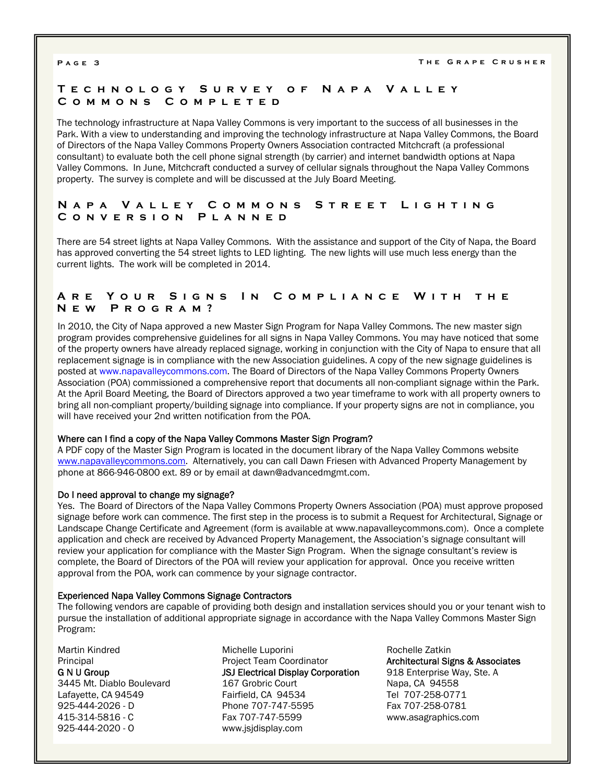# **Technology Survey of Napa Valley Commons Completed**

The technology infrastructure at Napa Valley Commons is very important to the success of all businesses in the Park. With a view to understanding and improving the technology infrastructure at Napa Valley Commons, the Board of Directors of the Napa Valley Commons Property Owners Association contracted Mitchcraft (a professional consultant) to evaluate both the cell phone signal strength (by carrier) and internet bandwidth options at Napa Valley Commons. In June, Mitchcraft conducted a survey of cellular signals throughout the Napa Valley Commons property. The survey is complete and will be discussed at the July Board Meeting.

# **Napa Valley Commons Street Lighting Conversion Planned**

There are 54 street lights at Napa Valley Commons. With the assistance and support of the City of Napa, the Board has approved converting the 54 street lights to LED lighting. The new lights will use much less energy than the current lights. The work will be completed in 2014.

# **Are Your Signs In Compliance With the New Program?**

In 2010, the City of Napa approved a new Master Sign Program for Napa Valley Commons. The new master sign program provides comprehensive guidelines for all signs in Napa Valley Commons. You may have noticed that some of the property owners have already replaced signage, working in conjunction with the City of Napa to ensure that all replacement signage is in compliance with the new Association guidelines. A copy of the new signage guidelines is posted at www.napavalleycommons.com. The Board of Directors of the Napa Valley Commons Property Owners Association (POA) commissioned a comprehensive report that documents all non-compliant signage within the Park. At the April Board Meeting, the Board of Directors approved a two year timeframe to work with all property owners to bring all non-compliant property/building signage into compliance. If your property signs are not in compliance, you will have received your 2nd written notification from the POA.

### Where can I find a copy of the Napa Valley Commons Master Sign Program?

A PDF copy of the Master Sign Program is located in the document library of the Napa Valley Commons website www.napavalleycommons.com. Alternatively, you can call Dawn Friesen with Advanced Property Management by phone at 866-946-0800 ext. 89 or by email at dawn@advancedmgmt.com.

### Do I need approval to change my signage?

Yes. The Board of Directors of the Napa Valley Commons Property Owners Association (POA) must approve proposed signage before work can commence. The first step in the process is to submit a Request for Architectural, Signage or Landscape Change Certificate and Agreement (form is available at www.napavalleycommons.com). Once a complete application and check are received by Advanced Property Management, the Association's signage consultant will review your application for compliance with the Master Sign Program. When the signage consultant's review is complete, the Board of Directors of the POA will review your application for approval. Once you receive written approval from the POA, work can commence by your signage contractor.

### Experienced Napa Valley Commons Signage Contractors

The following vendors are capable of providing both design and installation services should you or your tenant wish to pursue the installation of additional appropriate signage in accordance with the Napa Valley Commons Master Sign Program:

Martin Kindred **Principal** G N U Group 3445 Mt. Diablo Boulevard Lafayette, CA 94549 925-444-2026 - D 415-314-5816 - C 925-444-2020 - O

Michelle Luporini Project Team Coordinator JSJ Electrical Display Corporation 167 Grobric Court Fairfield, CA 94534 Phone 707-747-5595 Fax 707-747-5599 www.jsjdisplay.com

Rochelle Zatkin Architectural Signs & Associates 918 Enterprise Way, Ste. A Napa, CA 94558 Tel 707-258-0771 Fax 707-258-0781 www.asagraphics.com